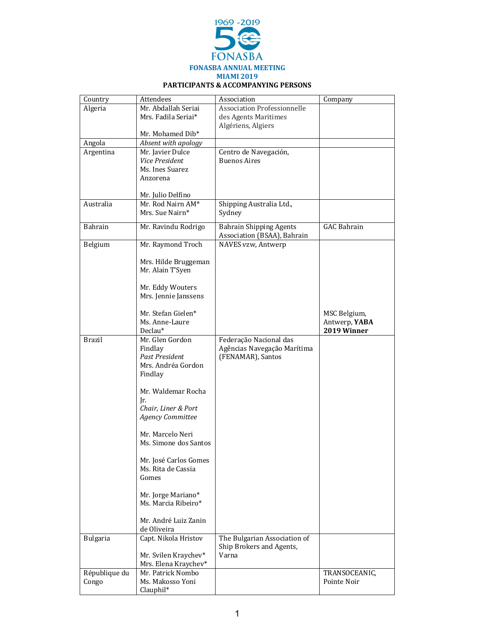

## **PARTICIPANTS & ACCOMPANYING PERSONS**

| Country                | Attendees                                 | Association                        | Company                       |
|------------------------|-------------------------------------------|------------------------------------|-------------------------------|
| Algeria                | Mr. Abdallah Seriai                       | <b>Association Professionnelle</b> |                               |
|                        | Mrs. Fadila Seriai*                       | des Agents Maritimes               |                               |
|                        |                                           | Algériens, Algiers                 |                               |
|                        | Mr. Mohamed Dib*                          |                                    |                               |
| Angola                 | Absent with apology                       |                                    |                               |
| Argentina              | Mr. Javier Dulce                          | Centro de Navegación,              |                               |
|                        | Vice President                            | <b>Buenos Aires</b>                |                               |
|                        | Ms. Ines Suarez                           |                                    |                               |
|                        | Anzorena                                  |                                    |                               |
|                        |                                           |                                    |                               |
| Australia              | Mr. Julio Delfino<br>Mr. Rod Nairn AM*    | Shipping Australia Ltd.,           |                               |
|                        | Mrs. Sue Nairn*                           | Sydney                             |                               |
|                        |                                           |                                    |                               |
| Bahrain                | Mr. Ravindu Rodrigo                       | <b>Bahrain Shipping Agents</b>     | <b>GAC Bahrain</b>            |
|                        |                                           | Association (BSAA), Bahrain        |                               |
| Belgium                | Mr. Raymond Troch                         | NAVES vzw, Antwerp                 |                               |
|                        |                                           |                                    |                               |
|                        | Mrs. Hilde Bruggeman                      |                                    |                               |
|                        | Mr. Alain T'Syen                          |                                    |                               |
|                        |                                           |                                    |                               |
|                        | Mr. Eddy Wouters                          |                                    |                               |
|                        | Mrs. Jennie Janssens                      |                                    |                               |
|                        | Mr. Stefan Gielen*                        |                                    |                               |
|                        | Ms. Anne-Laure                            |                                    | MSC Belgium,<br>Antwerp, YABA |
|                        | Declau*                                   |                                    | 2019 Winner                   |
| Brazil                 | Mr. Glen Gordon                           | Federação Nacional das             |                               |
|                        | Findlay                                   | Agências Navegação Marítima        |                               |
|                        | <b>Past President</b>                     | (FENAMAR), Santos                  |                               |
|                        | Mrs. Andréa Gordon                        |                                    |                               |
|                        | Findlay                                   |                                    |                               |
|                        |                                           |                                    |                               |
|                        | Mr. Waldemar Rocha                        |                                    |                               |
|                        | Ir.                                       |                                    |                               |
|                        | Chair, Liner & Port                       |                                    |                               |
|                        | <b>Agency Committee</b>                   |                                    |                               |
|                        |                                           |                                    |                               |
|                        | Mr. Marcelo Neri<br>Ms. Simone dos Santos |                                    |                               |
|                        |                                           |                                    |                               |
|                        | Mr. José Carlos Gomes                     |                                    |                               |
|                        | Ms. Rita de Cassia                        |                                    |                               |
|                        | Gomes                                     |                                    |                               |
|                        |                                           |                                    |                               |
|                        | Mr. Jorge Mariano*                        |                                    |                               |
|                        | Ms. Marcia Ribeiro*                       |                                    |                               |
|                        |                                           |                                    |                               |
|                        | Mr. André Luiz Zanin                      |                                    |                               |
|                        | de Oliveira                               |                                    |                               |
| <b>Bulgaria</b>        | Capt. Nikola Hristov                      | The Bulgarian Association of       |                               |
|                        |                                           | Ship Brokers and Agents,           |                               |
|                        | Mr. Svilen Kraychev*                      | Varna                              |                               |
|                        | Mrs. Elena Kraychev*                      |                                    |                               |
| République du<br>Congo | Mr. Patrick Nombo<br>Ms. Makosso Yoni     |                                    | TRANSOCEANIC,<br>Pointe Noir  |
|                        | Clauphil*                                 |                                    |                               |
|                        |                                           |                                    |                               |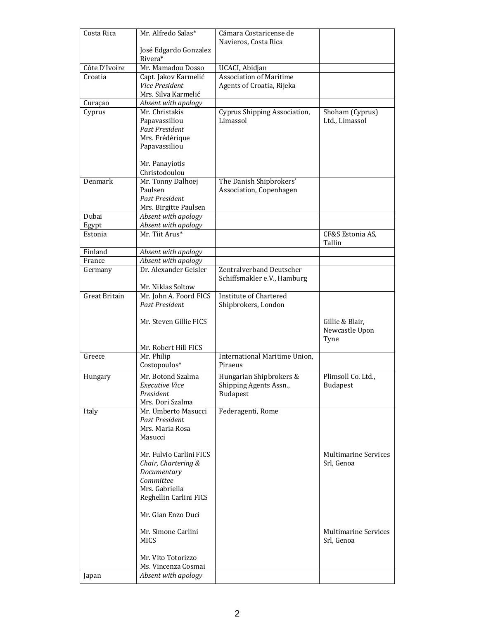| Costa Rica    | Mr. Alfredo Salas*                           | Cámara Costaricense de                                  |                                   |
|---------------|----------------------------------------------|---------------------------------------------------------|-----------------------------------|
|               | José Edgardo Gonzalez                        | Navieros, Costa Rica                                    |                                   |
|               | Rivera*                                      |                                                         |                                   |
| Côte D'Ivoire | Mr. Mamadou Dosso                            | UCACI, Abidjan                                          |                                   |
| Croatia       | Capt. Jakov Karmelić                         | <b>Association of Maritime</b>                          |                                   |
|               | Vice President                               | Agents of Croatia, Rijeka                               |                                   |
|               | Mrs. Silva Karmelić                          |                                                         |                                   |
| Curaçao       | Absent with apology                          |                                                         |                                   |
| Cyprus        | Mr. Christakis<br>Papavassiliou              | Cyprus Shipping Association,<br>Limassol                | Shoham (Cyprus)<br>Ltd., Limassol |
|               | <b>Past President</b>                        |                                                         |                                   |
|               | Mrs. Frédérique                              |                                                         |                                   |
|               | Papavassiliou                                |                                                         |                                   |
|               |                                              |                                                         |                                   |
|               | Mr. Panayiotis                               |                                                         |                                   |
|               | Christodoulou                                |                                                         |                                   |
| Denmark       | Mr. Tonny Dalhoej                            | The Danish Shipbrokers'                                 |                                   |
|               | Paulsen<br><b>Past President</b>             | Association, Copenhagen                                 |                                   |
|               | Mrs. Birgitte Paulsen                        |                                                         |                                   |
| Dubai         | Absent with apology                          |                                                         |                                   |
| Egypt         | Absent with apology                          |                                                         |                                   |
| Estonia       | Mr. Tiit Arus*                               |                                                         | CF&S Estonia AS,                  |
|               |                                              |                                                         | Tallin                            |
| Finland       | Absent with apology                          |                                                         |                                   |
| France        | Absent with apology                          |                                                         |                                   |
| Germany       | Dr. Alexander Geisler                        | Zentralverband Deutscher<br>Schiffsmakler e.V., Hamburg |                                   |
|               | Mr. Niklas Soltow                            |                                                         |                                   |
| Great Britain | Mr. John A. Foord FICS                       | <b>Institute of Chartered</b>                           |                                   |
|               | <b>Past President</b>                        | Shipbrokers, London                                     |                                   |
|               |                                              |                                                         |                                   |
|               | Mr. Steven Gillie FICS                       |                                                         | Gillie & Blair,                   |
|               |                                              |                                                         | Newcastle Upon<br>Tyne            |
|               | Mr. Robert Hill FICS                         |                                                         |                                   |
| Greece        | Mr. Philip                                   | International Maritime Union,                           |                                   |
|               | Costopoulos*                                 | Piraeus                                                 |                                   |
| Hungary       | Mr. Botond Szalma                            | Hungarian Shipbrokers &                                 | Plimsoll Co. Ltd.,                |
|               | <b>Executive Vice</b>                        | Shipping Agents Assn.,                                  | <b>Budapest</b>                   |
|               | President                                    | <b>Budapest</b>                                         |                                   |
|               | Mrs. Dori Szalma                             |                                                         |                                   |
| Italy         | Mr. Umberto Masucci<br><b>Past President</b> | Federagenti, Rome                                       |                                   |
|               | Mrs. Maria Rosa                              |                                                         |                                   |
|               | Masucci                                      |                                                         |                                   |
|               |                                              |                                                         |                                   |
|               | Mr. Fulvio Carlini FICS                      |                                                         | <b>Multimarine Services</b>       |
|               | Chair, Chartering &                          |                                                         | Srl. Genoa                        |
|               | Documentary                                  |                                                         |                                   |
|               | Committee                                    |                                                         |                                   |
|               | Mrs. Gabriella<br>Reghellin Carlini FICS     |                                                         |                                   |
|               |                                              |                                                         |                                   |
|               | Mr. Gian Enzo Duci                           |                                                         |                                   |
|               | Mr. Simone Carlini                           |                                                         | <b>Multimarine Services</b>       |
|               | <b>MICS</b>                                  |                                                         | Srl, Genoa                        |
|               |                                              |                                                         |                                   |
|               | Mr. Vito Totorizzo                           |                                                         |                                   |
|               | Ms. Vincenza Cosmai                          |                                                         |                                   |
| Japan         | Absent with apology                          |                                                         |                                   |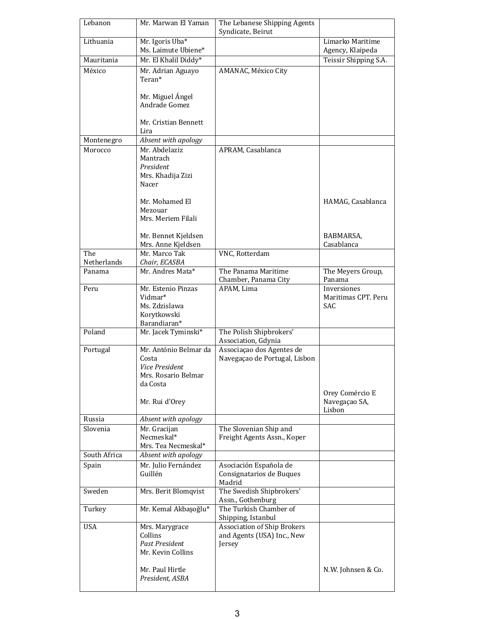| Lebanon            | Mr. Marwan El Yaman                                                                                   | The Lebanese Shipping Agents<br>Syndicate, Beirut                          |                                                  |
|--------------------|-------------------------------------------------------------------------------------------------------|----------------------------------------------------------------------------|--------------------------------------------------|
| Lithuania          | Mr. Igoris Uba*<br>Ms. Laimute Ubiene*                                                                |                                                                            | Limarko Maritime<br>Agency, Klaipeda             |
| Mauritania         | Mr. El Khalil Diddy*                                                                                  |                                                                            | Teissir Shipping S.A.                            |
| México             | Mr. Adrian Aguayo<br>Teran*<br>Mr. Miguel Ángel<br>Andrade Gomez                                      | AMANAC, México City                                                        |                                                  |
|                    | Mr. Cristian Bennett<br>Lira                                                                          |                                                                            |                                                  |
| Montenegro         | Absent with apology                                                                                   |                                                                            |                                                  |
| Morocco            | Mr. Abdelaziz<br>Mantrach<br>President<br>Mrs. Khadija Zizi<br>Nacer                                  | APRAM, Casablanca                                                          |                                                  |
|                    | Mr. Mohamed El<br>Mezouar<br>Mrs. Meriem Filali<br>Mr. Bennet Kjeldsen                                |                                                                            | HAMAG, Casablanca<br>BABMARSA,                   |
|                    | Mrs. Anne Kjeldsen                                                                                    |                                                                            | Casablanca                                       |
| The<br>Netherlands | Mr. Marco Tak<br>Chair, ECASBA                                                                        | VNC, Rotterdam                                                             |                                                  |
| Panama             | Mr. Andres Mata*                                                                                      | The Panama Maritime<br>Chamber, Panama City                                | The Meyers Group,<br>Panama                      |
| Peru               | Mr. Estenio Pinzas<br>Vidmar*<br>Ms. Zdzislawa<br>Korytkowski<br>Barandiaran*                         | APAM, Lima                                                                 | Inversiones<br>Maritimas CPT. Peru<br><b>SAC</b> |
| Poland             | Mr. Jacek Tyminski*                                                                                   | The Polish Shipbrokers'<br>Association, Gdynia                             |                                                  |
| Portugal           | Mr. António Belmar da<br>Costa<br>Vice President<br>Mrs. Rosario Belmar<br>da Costa<br>Mr. Rui d'Orey | Associação dos Agentes de<br>Navegaçao de Portugal, Lisbon                 | Orey Comércio E<br>Navegaçao SA,                 |
|                    |                                                                                                       |                                                                            | Lisbon                                           |
| Russia             | Absent with apology                                                                                   |                                                                            |                                                  |
| Slovenia           | Mr. Gracijan<br>Necmeskal*<br>Mrs. Tea Necmeskal*                                                     | The Slovenian Ship and<br>Freight Agents Assn., Koper                      |                                                  |
| South Africa       | Absent with apology                                                                                   |                                                                            |                                                  |
| Spain              | Mr. Julio Fernández<br>Guillén                                                                        | Asociación Española de<br>Consignatarios de Buques<br>Madrid               |                                                  |
| Sweden             | Mrs. Berit Blomqvist                                                                                  | The Swedish Shipbrokers'<br>Assn., Gothenburg                              |                                                  |
| Turkey             | Mr. Kemal Akbaşoğlu*                                                                                  | The Turkish Chamber of<br>Shipping, Istanbul                               |                                                  |
| <b>USA</b>         | Mrs. Marygrace<br>Collins<br><b>Past President</b><br>Mr. Kevin Collins<br>Mr. Paul Hirtle            | <b>Association of Ship Brokers</b><br>and Agents (USA) Inc., New<br>Jersey | N.W. Johnsen & Co.                               |
|                    | President, ASBA                                                                                       |                                                                            |                                                  |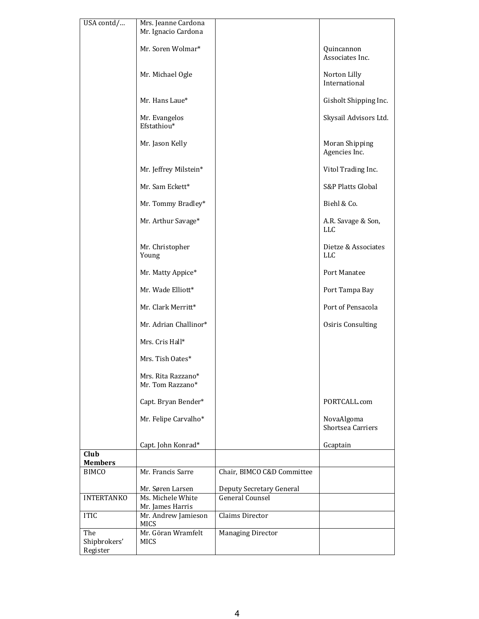| USA contd/                      | Mrs. Jeanne Cardona<br>Mr. Ignacio Cardona |                            |                                   |
|---------------------------------|--------------------------------------------|----------------------------|-----------------------------------|
|                                 | Mr. Soren Wolmar*                          |                            | Quincannon<br>Associates Inc.     |
|                                 | Mr. Michael Ogle                           |                            | Norton Lilly<br>International     |
|                                 | Mr. Hans Laue*                             |                            | Gisholt Shipping Inc.             |
|                                 | Mr. Evangelos<br>Efstathiou*               |                            | Skysail Advisors Ltd.             |
|                                 | Mr. Jason Kelly                            |                            | Moran Shipping<br>Agencies Inc.   |
|                                 | Mr. Jeffrey Milstein*                      |                            | Vitol Trading Inc.                |
|                                 | Mr. Sam Eckett*                            |                            | <b>S&amp;P Platts Global</b>      |
|                                 | Mr. Tommy Bradley*                         |                            | Biehl & Co.                       |
|                                 | Mr. Arthur Savage*                         |                            | A.R. Savage & Son,<br><b>LLC</b>  |
|                                 | Mr. Christopher<br>Young                   |                            | Dietze & Associates<br><b>LLC</b> |
|                                 | Mr. Matty Appice*                          |                            | Port Manatee                      |
|                                 | Mr. Wade Elliott*                          |                            | Port Tampa Bay                    |
|                                 | Mr. Clark Merritt*                         |                            | Port of Pensacola                 |
|                                 | Mr. Adrian Challinor*                      |                            | Osiris Consulting                 |
|                                 | Mrs. Cris Hall*                            |                            |                                   |
|                                 | Mrs. Tish Oates*                           |                            |                                   |
|                                 | Mrs. Rita Razzano*<br>Mr. Tom Razzano*     |                            |                                   |
|                                 | Capt. Bryan Bender*                        |                            | PORTCALL.com                      |
|                                 | Mr. Felipe Carvalho*                       |                            | NovaAlgoma<br>Shortsea Carriers   |
|                                 | Capt. John Konrad*                         |                            | Gcaptain                          |
| Club<br><b>Members</b>          |                                            |                            |                                   |
| <b>BIMCO</b>                    | Mr. Francis Sarre                          | Chair, BIMCO C&D Committee |                                   |
|                                 | Mr. Søren Larsen                           | Deputy Secretary General   |                                   |
| <b>INTERTANKO</b>               | Ms. Michele White<br>Mr. James Harris      | <b>General Counsel</b>     |                                   |
| <b>ITIC</b>                     | Mr. Andrew Jamieson<br>MICS                | Claims Director            |                                   |
| The<br>Shipbrokers'<br>Register | Mr. Göran Wramfelt<br><b>MICS</b>          | <b>Managing Director</b>   |                                   |